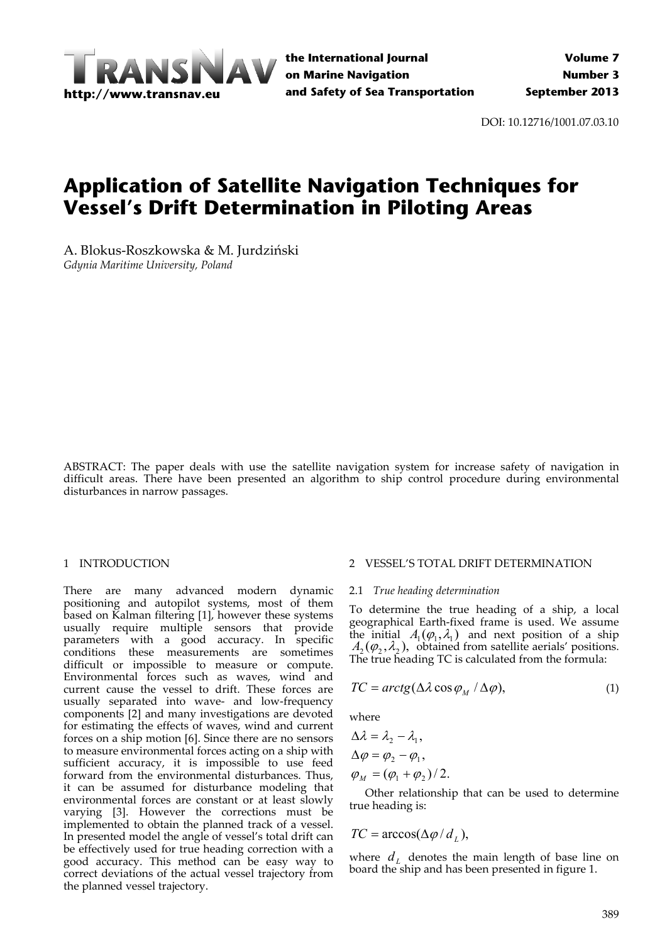

DOI: 10.12716/1001.07.03.10

# **Application of Satellite Navigation Techniques for Vessel's Drift Determination in Piloting Areas**

A. Blokus‐Roszkowska & M. Jurdziński *Gdynia Maritime University, Poland*

ABSTRACT: The paper deals with use the satellite navigation system for increase safety of navigation in difficult areas. There have been presented an algorithm to ship control procedure during environmental disturbances in narrow passages.

## 1 INTRODUCTION

There are many advanced modern dynamic positioning and autopilot systems, most of them based on Kalman filtering [1], however these systems usually require multiple sensors that provide parameters with a good accuracy. In specific conditions these measurements are sometimes difficult or impossible to measure or compute. Environmental forces such as waves, wind and current cause the vessel to drift. These forces are usually separated into wave‐ and low‐frequency components [2] and many investigations are devoted for estimating the effects of waves, wind and current forces on a ship motion [6]. Since there are no sensors to measure environmental forces acting on a ship with sufficient accuracy, it is impossible to use feed forward from the environmental disturbances. Thus, it can be assumed for disturbance modeling that environmental forces are constant or at least slowly varying [3]. However the corrections must be implemented to obtain the planned track of a vessel. In presented model the angle of vessel's total drift can be effectively used for true heading correction with a good accuracy. This method can be easy way to correct deviations of the actual vessel trajectory from the planned vessel trajectory.

# 2 VESSEL'S TOTAL DRIFT DETERMINATION

# 2.1 *True heading determination*

To determine the true heading of a ship, a local geographical Earth‐fixed frame is used. We assume the initial  $A_1(\varphi_1, \lambda_1)$  and next position of a ship  $A_1(\varphi_1, \lambda_2)$ , obtained from satellite aerials' positions. The true heading TC is calculated from the formula:

$$
TC = arctg(\Delta\lambda\cos\varphi_M/\Delta\varphi),\tag{1}
$$

where

$$
\Delta \lambda = \lambda_2 - \lambda_1,
$$
  
\n
$$
\Delta \varphi = \varphi_2 - \varphi_1,
$$
  
\n
$$
\varphi_M = (\varphi_1 + \varphi_2)/2.
$$

Other relationship that can be used to determine true heading is:

$$
TC = \arccos(\Delta \varphi / d_L),
$$

where  $d<sub>L</sub>$  denotes the main length of base line on board the ship and has been presented in figure 1.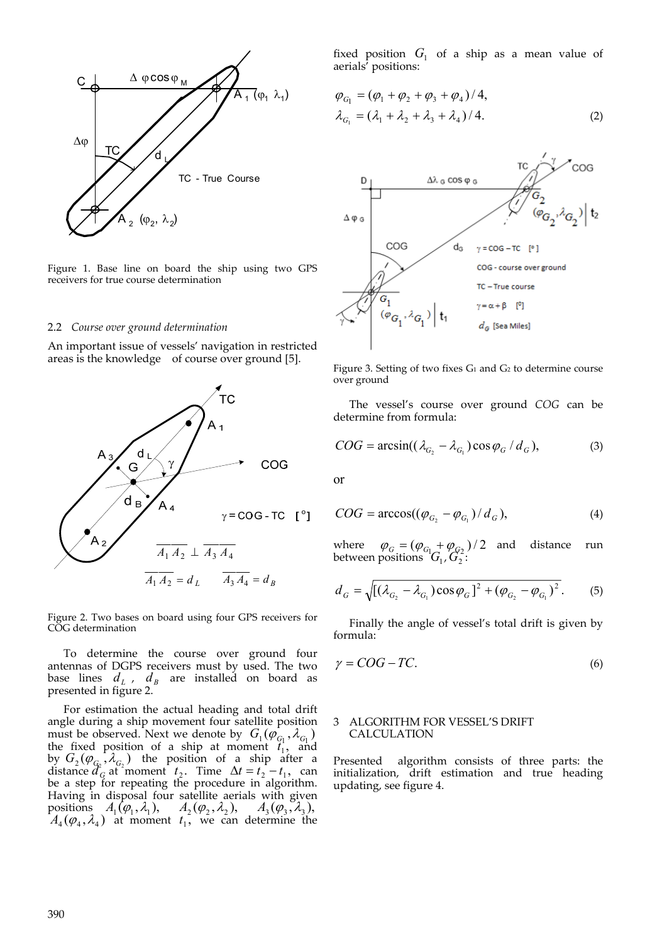

Figure 1. Base line on board the ship using two GPS receivers for true course determination

#### 2.2 *Course over ground determination*

An important issue of vessels' navigation in restricted areas is the knowledge of course over ground [5].



Figure 2. Two bases on board using four GPS receivers for COG determination

To determine the course over ground four antennas of DGPS receivers must by used. The two base lines  $d_L$ ,  $d_B$  are installed on board as presented in figure 2.

For estimation the actual heading and total drift angle during a ship movement four satellite position must be observed. Next we denote by  $G_1(\varphi_{C_1}, \lambda_{C_1})$ the fixed position of a ship at moment  $t_1$ , and by  $G_2(\varphi_{G_2}, \lambda_{G_2})$  the position of a ship after a distance  $d_G^2$  at moment  $t_2$ . Time  $\Delta t = t_2 - t_1$ , can be a step for repeating the procedure in algorithm. Having in disposal four satellite aerials with given positions  $A_1(\varphi_1, \lambda_1)$ ,  $A_2(\varphi_2, \lambda_2)$ ,  $A_3(\varphi_3, \lambda_3)$ ,  $A_4(\varphi_4, \lambda_4)$  at moment  $t_1$ , we can determine the fixed position  $G_1$  of a ship as a mean value of aerials' positions:

$$
\varphi_{G_1} = (\varphi_1 + \varphi_2 + \varphi_3 + \varphi_4)/4,\n\lambda_{G_1} = (\lambda_1 + \lambda_2 + \lambda_3 + \lambda_4)/4.
$$
\n(2)



Figure 3. Setting of two fixes G<sub>1</sub> and G<sub>2</sub> to determine course over ground

The vessel's course over ground *COG* can be determine from formula:

$$
COG = \arcsin((\lambda_{G_2} - \lambda_{G_1})\cos\varphi_G/d_G),\tag{3}
$$

or

$$
COG = \arccos((\varphi_{G_2} - \varphi_{G_1})/d_G), \tag{4}
$$

where  $\varphi_G = (\varphi_{G_1} + \varphi_{G_2})/2$  and distance run between positions  $G_1$ ,  $G_2^2$ :

$$
d_G = \sqrt{[(\lambda_{G_2} - \lambda_{G_1}) \cos \varphi_G]^2 + (\varphi_{G_2} - \varphi_{G_1})^2}.
$$
 (5)

Finally the angle of vessel's total drift is given by formula:

$$
\gamma = COG - TC.\tag{6}
$$

## 3 ALGORITHM FOR VESSEL'S DRIFT CALCULATION

Presented algorithm consists of three parts: the initialization, drift estimation and true heading updating, see figure 4.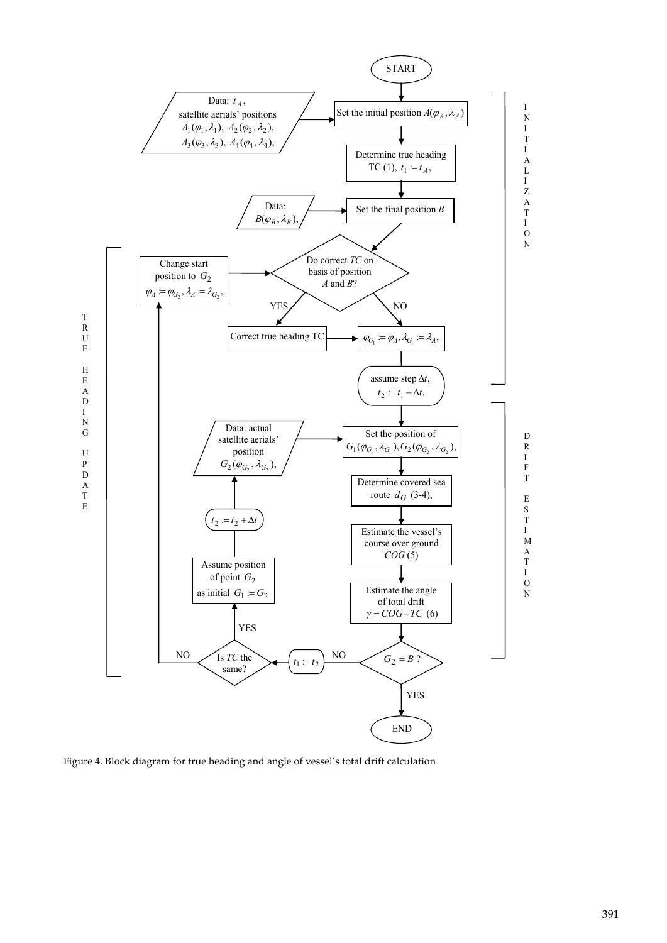

Figure 4. Block diagram for true heading and angle of vessel's total drift calculation